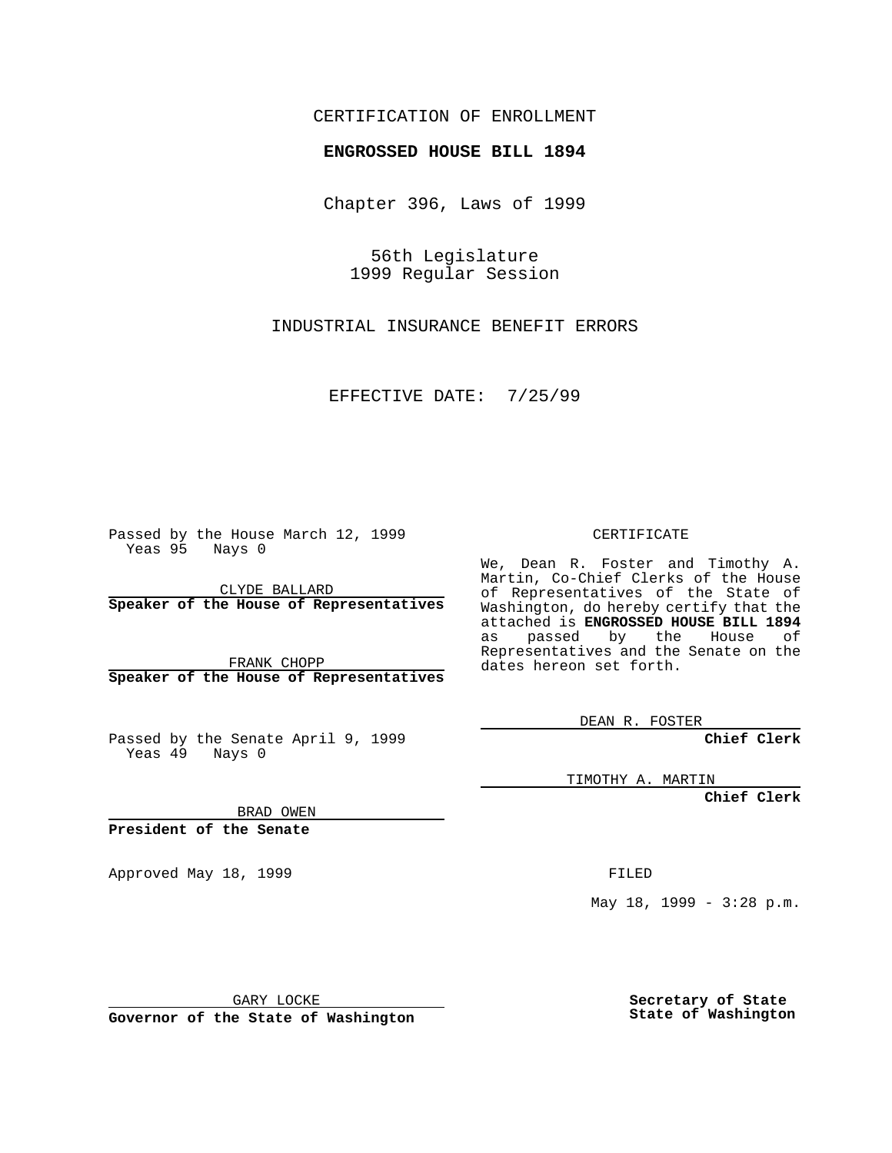## CERTIFICATION OF ENROLLMENT

## **ENGROSSED HOUSE BILL 1894**

Chapter 396, Laws of 1999

56th Legislature 1999 Regular Session

INDUSTRIAL INSURANCE BENEFIT ERRORS

EFFECTIVE DATE: 7/25/99

Passed by the House March 12, 1999 Yeas 95 Nays 0

CLYDE BALLARD **Speaker of the House of Representatives**

FRANK CHOPP **Speaker of the House of Representatives**

Passed by the Senate April 9, 1999 Yeas 49 Nays 0

CERTIFICATE

We, Dean R. Foster and Timothy A. Martin, Co-Chief Clerks of the House of Representatives of the State of Washington, do hereby certify that the attached is **ENGROSSED HOUSE BILL 1894** as passed by the House of Representatives and the Senate on the dates hereon set forth.

DEAN R. FOSTER

**Chief Clerk**

TIMOTHY A. MARTIN

**Chief Clerk**

BRAD OWEN

**President of the Senate**

Approved May 18, 1999 **FILED** 

May 18, 1999 - 3:28 p.m.

GARY LOCKE

**Governor of the State of Washington**

**Secretary of State State of Washington**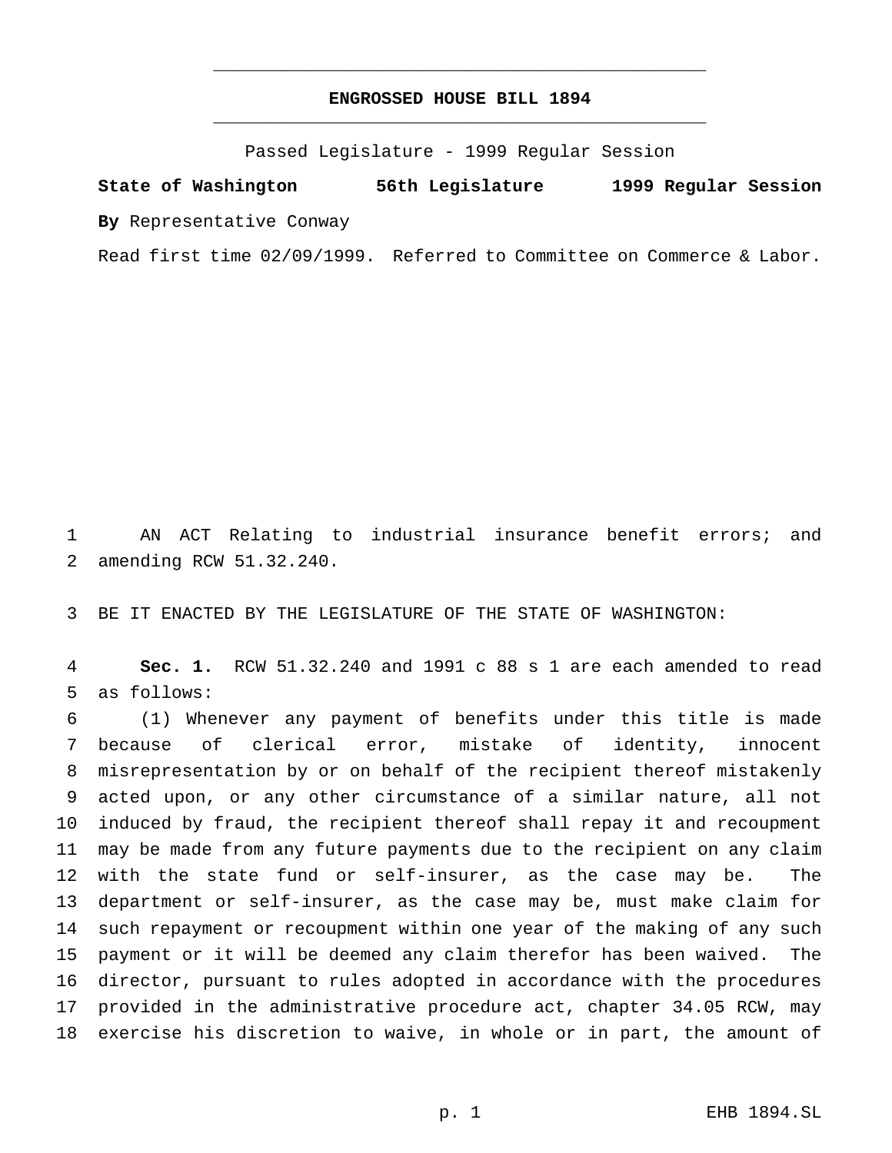## **ENGROSSED HOUSE BILL 1894** \_\_\_\_\_\_\_\_\_\_\_\_\_\_\_\_\_\_\_\_\_\_\_\_\_\_\_\_\_\_\_\_\_\_\_\_\_\_\_\_\_\_\_\_\_\_\_

\_\_\_\_\_\_\_\_\_\_\_\_\_\_\_\_\_\_\_\_\_\_\_\_\_\_\_\_\_\_\_\_\_\_\_\_\_\_\_\_\_\_\_\_\_\_\_

Passed Legislature - 1999 Regular Session

**State of Washington 56th Legislature 1999 Regular Session By** Representative Conway

Read first time 02/09/1999. Referred to Committee on Commerce & Labor.

 AN ACT Relating to industrial insurance benefit errors; and amending RCW 51.32.240.

BE IT ENACTED BY THE LEGISLATURE OF THE STATE OF WASHINGTON:

 **Sec. 1.** RCW 51.32.240 and 1991 c 88 s 1 are each amended to read as follows:

 (1) Whenever any payment of benefits under this title is made because of clerical error, mistake of identity, innocent misrepresentation by or on behalf of the recipient thereof mistakenly acted upon, or any other circumstance of a similar nature, all not induced by fraud, the recipient thereof shall repay it and recoupment may be made from any future payments due to the recipient on any claim with the state fund or self-insurer, as the case may be. The department or self-insurer, as the case may be, must make claim for such repayment or recoupment within one year of the making of any such payment or it will be deemed any claim therefor has been waived. The director, pursuant to rules adopted in accordance with the procedures provided in the administrative procedure act, chapter 34.05 RCW, may exercise his discretion to waive, in whole or in part, the amount of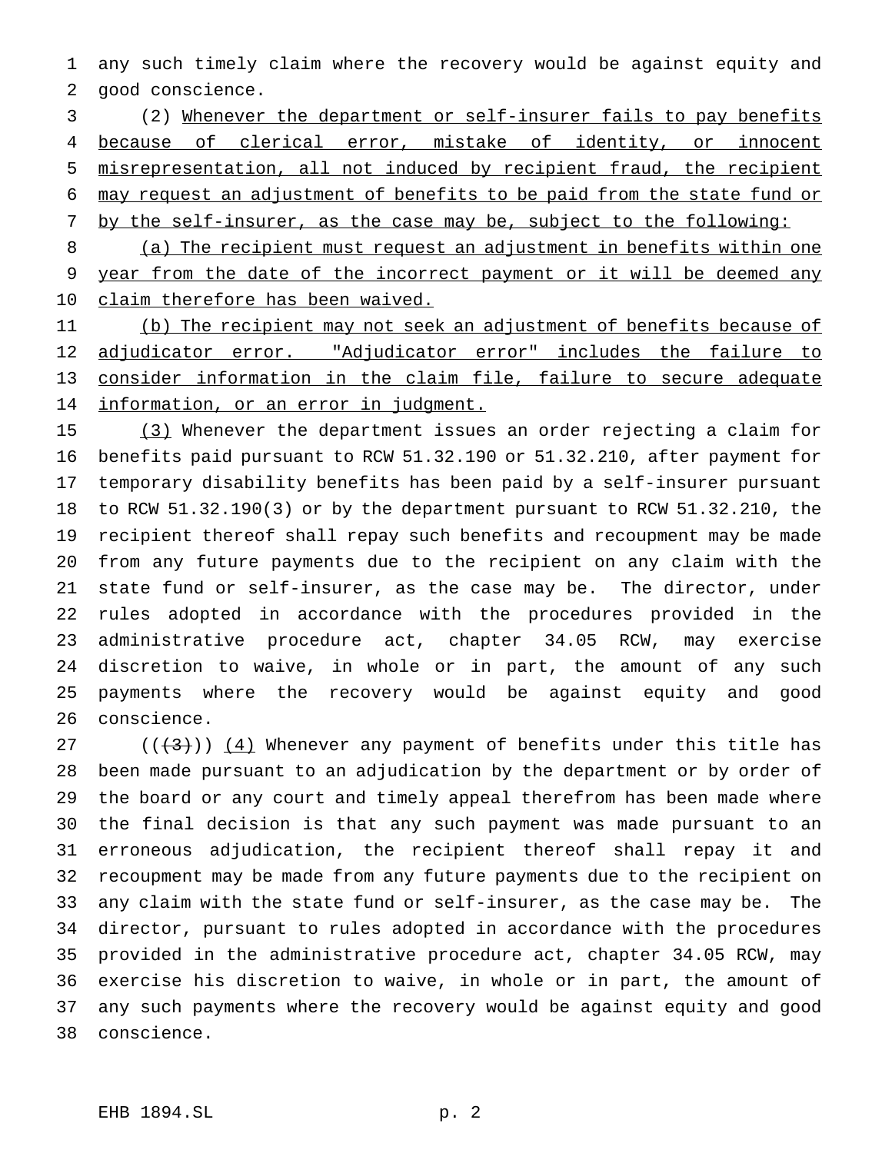any such timely claim where the recovery would be against equity and good conscience.

 (2) Whenever the department or self-insurer fails to pay benefits because of clerical error, mistake of identity, or innocent misrepresentation, all not induced by recipient fraud, the recipient may request an adjustment of benefits to be paid from the state fund or 7 by the self-insurer, as the case may be, subject to the following:

 (a) The recipient must request an adjustment in benefits within one 9 year from the date of the incorrect payment or it will be deemed any 10 claim therefore has been waived.

11 (b) The recipient may not seek an adjustment of benefits because of 12 adjudicator error. "Adjudicator error" includes the failure to consider information in the claim file, failure to secure adequate 14 information, or an error in judgment.

15 (3) Whenever the department issues an order rejecting a claim for benefits paid pursuant to RCW 51.32.190 or 51.32.210, after payment for temporary disability benefits has been paid by a self-insurer pursuant to RCW 51.32.190(3) or by the department pursuant to RCW 51.32.210, the recipient thereof shall repay such benefits and recoupment may be made from any future payments due to the recipient on any claim with the state fund or self-insurer, as the case may be. The director, under rules adopted in accordance with the procedures provided in the administrative procedure act, chapter 34.05 RCW, may exercise discretion to waive, in whole or in part, the amount of any such payments where the recovery would be against equity and good conscience.

27 ( $(\frac{4}{3})$ )  $(4)$  Whenever any payment of benefits under this title has been made pursuant to an adjudication by the department or by order of the board or any court and timely appeal therefrom has been made where the final decision is that any such payment was made pursuant to an erroneous adjudication, the recipient thereof shall repay it and recoupment may be made from any future payments due to the recipient on any claim with the state fund or self-insurer, as the case may be. The director, pursuant to rules adopted in accordance with the procedures provided in the administrative procedure act, chapter 34.05 RCW, may exercise his discretion to waive, in whole or in part, the amount of any such payments where the recovery would be against equity and good conscience.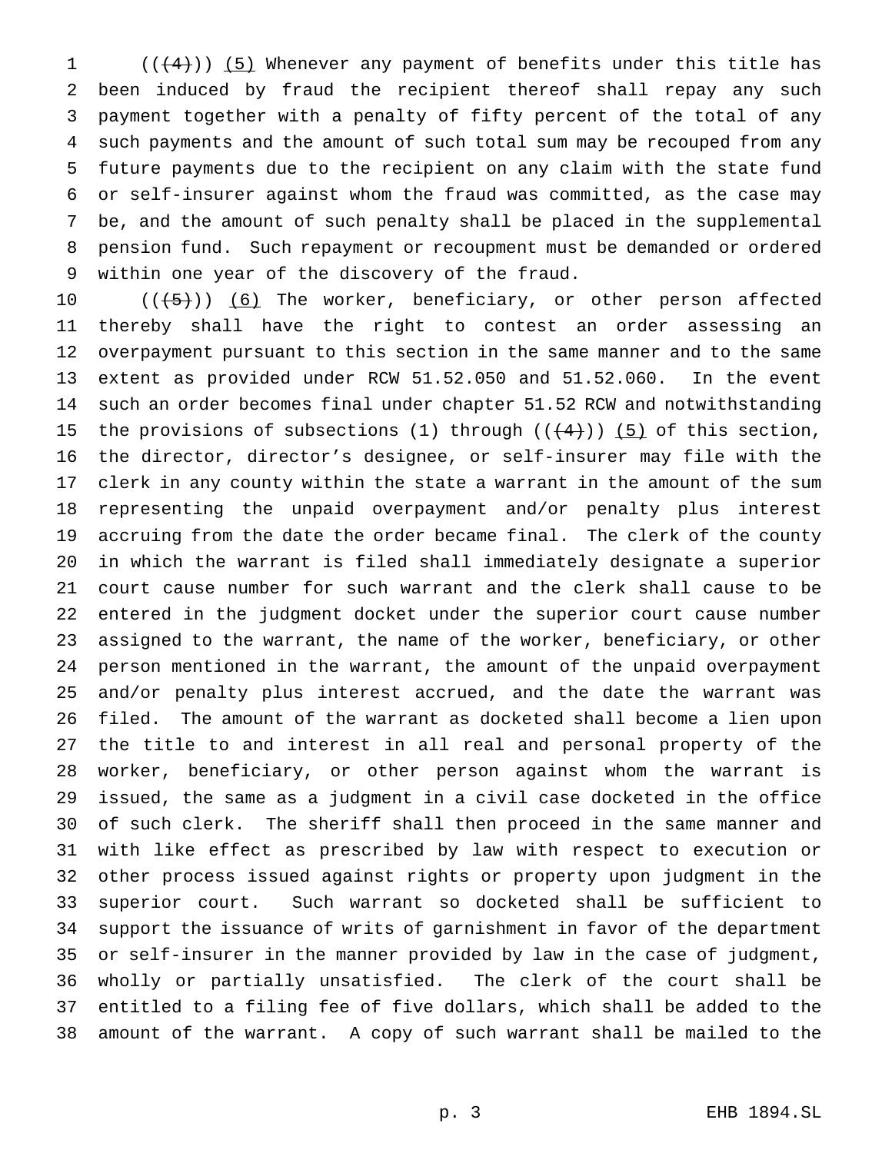$((+4))$  (5) Whenever any payment of benefits under this title has been induced by fraud the recipient thereof shall repay any such payment together with a penalty of fifty percent of the total of any such payments and the amount of such total sum may be recouped from any future payments due to the recipient on any claim with the state fund or self-insurer against whom the fraud was committed, as the case may be, and the amount of such penalty shall be placed in the supplemental pension fund. Such repayment or recoupment must be demanded or ordered within one year of the discovery of the fraud.

 $((+5))$   $(6)$  The worker, beneficiary, or other person affected thereby shall have the right to contest an order assessing an overpayment pursuant to this section in the same manner and to the same extent as provided under RCW 51.52.050 and 51.52.060. In the event such an order becomes final under chapter 51.52 RCW and notwithstanding 15 the provisions of subsections (1) through  $((+4))$  (5) of this section, the director, director's designee, or self-insurer may file with the clerk in any county within the state a warrant in the amount of the sum representing the unpaid overpayment and/or penalty plus interest accruing from the date the order became final. The clerk of the county in which the warrant is filed shall immediately designate a superior court cause number for such warrant and the clerk shall cause to be entered in the judgment docket under the superior court cause number assigned to the warrant, the name of the worker, beneficiary, or other person mentioned in the warrant, the amount of the unpaid overpayment and/or penalty plus interest accrued, and the date the warrant was filed. The amount of the warrant as docketed shall become a lien upon the title to and interest in all real and personal property of the worker, beneficiary, or other person against whom the warrant is issued, the same as a judgment in a civil case docketed in the office of such clerk. The sheriff shall then proceed in the same manner and with like effect as prescribed by law with respect to execution or other process issued against rights or property upon judgment in the superior court. Such warrant so docketed shall be sufficient to support the issuance of writs of garnishment in favor of the department or self-insurer in the manner provided by law in the case of judgment, wholly or partially unsatisfied. The clerk of the court shall be entitled to a filing fee of five dollars, which shall be added to the amount of the warrant. A copy of such warrant shall be mailed to the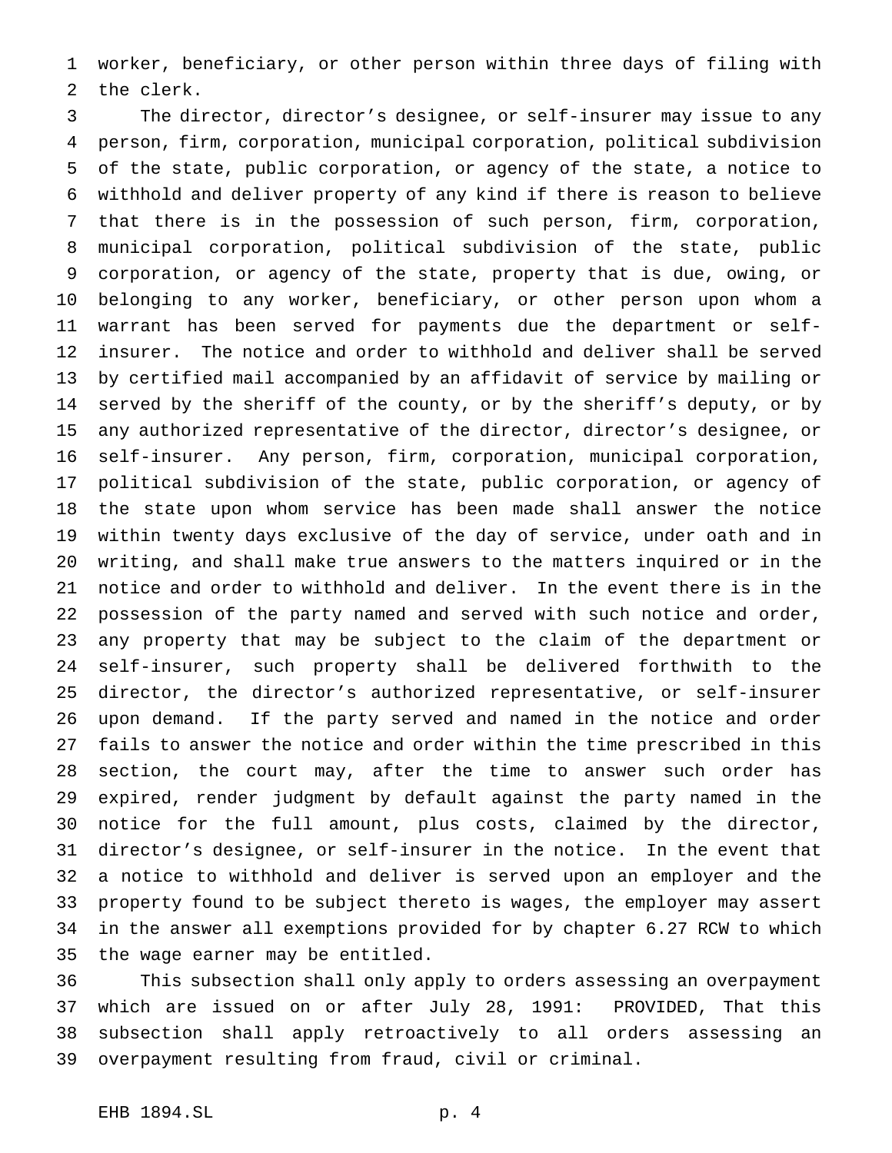worker, beneficiary, or other person within three days of filing with the clerk.

 The director, director's designee, or self-insurer may issue to any person, firm, corporation, municipal corporation, political subdivision of the state, public corporation, or agency of the state, a notice to withhold and deliver property of any kind if there is reason to believe that there is in the possession of such person, firm, corporation, municipal corporation, political subdivision of the state, public corporation, or agency of the state, property that is due, owing, or belonging to any worker, beneficiary, or other person upon whom a warrant has been served for payments due the department or self- insurer. The notice and order to withhold and deliver shall be served by certified mail accompanied by an affidavit of service by mailing or served by the sheriff of the county, or by the sheriff's deputy, or by any authorized representative of the director, director's designee, or self-insurer. Any person, firm, corporation, municipal corporation, political subdivision of the state, public corporation, or agency of the state upon whom service has been made shall answer the notice within twenty days exclusive of the day of service, under oath and in writing, and shall make true answers to the matters inquired or in the notice and order to withhold and deliver. In the event there is in the possession of the party named and served with such notice and order, any property that may be subject to the claim of the department or self-insurer, such property shall be delivered forthwith to the director, the director's authorized representative, or self-insurer upon demand. If the party served and named in the notice and order fails to answer the notice and order within the time prescribed in this section, the court may, after the time to answer such order has expired, render judgment by default against the party named in the notice for the full amount, plus costs, claimed by the director, director's designee, or self-insurer in the notice. In the event that a notice to withhold and deliver is served upon an employer and the property found to be subject thereto is wages, the employer may assert in the answer all exemptions provided for by chapter 6.27 RCW to which the wage earner may be entitled.

 This subsection shall only apply to orders assessing an overpayment which are issued on or after July 28, 1991: PROVIDED, That this subsection shall apply retroactively to all orders assessing an overpayment resulting from fraud, civil or criminal.